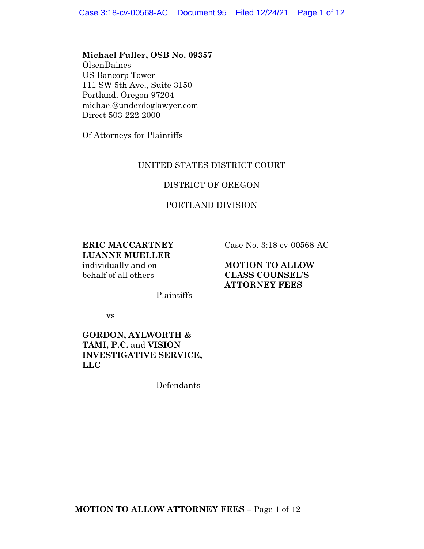## **Michael Fuller, OSB No. 09357**

OlsenDaines US Bancorp Tower 111 SW 5th Ave., Suite 3150 Portland, Oregon 97204 michael@underdoglawyer.com Direct 503-222-2000

Of Attorneys for Plaintiffs

# UNITED STATES DISTRICT COURT

# DISTRICT OF OREGON

# PORTLAND DIVISION

**ERIC MACCARTNEY LUANNE MUELLER**

individually and on behalf of all others

Case No. 3:18-cv-00568-AC

**MOTION TO ALLOW CLASS COUNSEL'S ATTORNEY FEES**

Plaintiffs

vs

# **GORDON, AYLWORTH & TAMI, P.C.** and **VISION INVESTIGATIVE SERVICE, LLC**

Defendants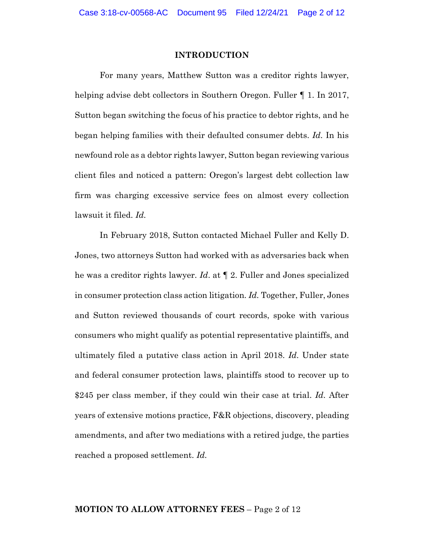#### **INTRODUCTION**

For many years, Matthew Sutton was a creditor rights lawyer, helping advise debt collectors in Southern Oregon. Fuller ¶ 1. In 2017, Sutton began switching the focus of his practice to debtor rights, and he began helping families with their defaulted consumer debts. *Id.* In his newfound role as a debtor rights lawyer, Sutton began reviewing various client files and noticed a pattern: Oregon's largest debt collection law firm was charging excessive service fees on almost every collection lawsuit it filed. *Id.*

In February 2018, Sutton contacted Michael Fuller and Kelly D. Jones, two attorneys Sutton had worked with as adversaries back when he was a creditor rights lawyer. *Id*. at ¶ 2. Fuller and Jones specialized in consumer protection class action litigation. *Id.* Together, Fuller, Jones and Sutton reviewed thousands of court records, spoke with various consumers who might qualify as potential representative plaintiffs, and ultimately filed a putative class action in April 2018. *Id.* Under state and federal consumer protection laws, plaintiffs stood to recover up to \$245 per class member, if they could win their case at trial. *Id.* After years of extensive motions practice, F&R objections, discovery, pleading amendments, and after two mediations with a retired judge, the parties reached a proposed settlement. *Id.*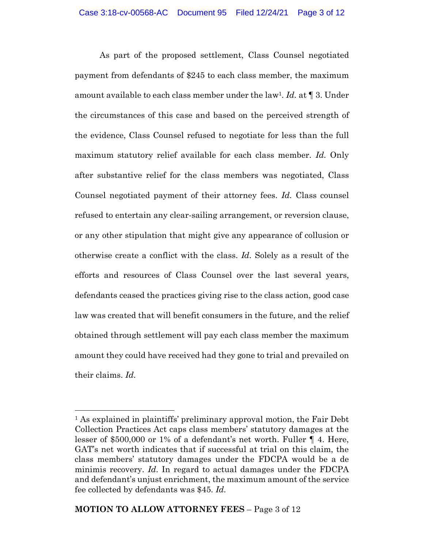As part of the proposed settlement, Class Counsel negotiated payment from defendants of \$245 to each class member, the maximum amount available to each class member under the law1. *Id.* at ¶ 3. Under the circumstances of this case and based on the perceived strength of the evidence, Class Counsel refused to negotiate for less than the full maximum statutory relief available for each class member. *Id.* Only after substantive relief for the class members was negotiated, Class Counsel negotiated payment of their attorney fees. *Id.* Class counsel refused to entertain any clear-sailing arrangement, or reversion clause, or any other stipulation that might give any appearance of collusion or otherwise create a conflict with the class. *Id.* Solely as a result of the efforts and resources of Class Counsel over the last several years, defendants ceased the practices giving rise to the class action, good case law was created that will benefit consumers in the future, and the relief obtained through settlement will pay each class member the maximum amount they could have received had they gone to trial and prevailed on their claims. *Id.*

 

<sup>1</sup> As explained in plaintiffs' preliminary approval motion, the Fair Debt Collection Practices Act caps class members' statutory damages at the lesser of \$500,000 or 1% of a defendant's net worth. Fuller ¶ 4. Here, GAT's net worth indicates that if successful at trial on this claim, the class members' statutory damages under the FDCPA would be a de minimis recovery. *Id.* In regard to actual damages under the FDCPA and defendant's unjust enrichment, the maximum amount of the service fee collected by defendants was \$45. *Id.*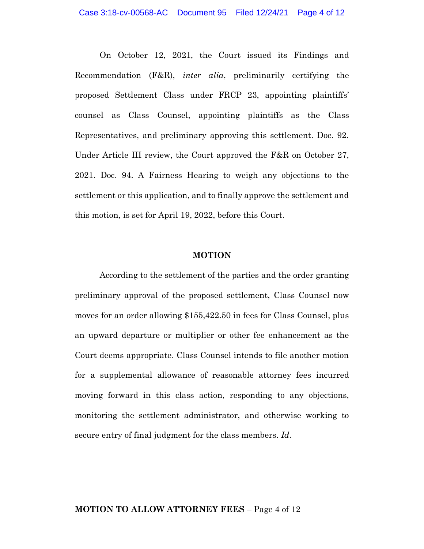On October 12, 2021, the Court issued its Findings and Recommendation (F&R), *inter alia*, preliminarily certifying the proposed Settlement Class under FRCP 23, appointing plaintiffs' counsel as Class Counsel, appointing plaintiffs as the Class Representatives, and preliminary approving this settlement. Doc. 92. Under Article III review, the Court approved the F&R on October 27, 2021. Doc. 94. A Fairness Hearing to weigh any objections to the settlement or this application, and to finally approve the settlement and this motion, is set for April 19, 2022, before this Court.

#### **MOTION**

According to the settlement of the parties and the order granting preliminary approval of the proposed settlement, Class Counsel now moves for an order allowing \$155,422.50 in fees for Class Counsel, plus an upward departure or multiplier or other fee enhancement as the Court deems appropriate. Class Counsel intends to file another motion for a supplemental allowance of reasonable attorney fees incurred moving forward in this class action, responding to any objections, monitoring the settlement administrator, and otherwise working to secure entry of final judgment for the class members. *Id.*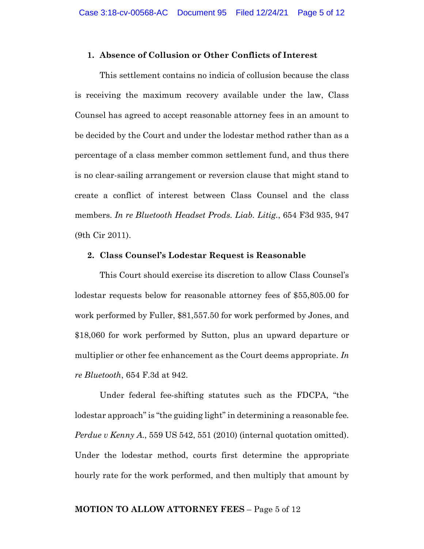#### **1. Absence of Collusion or Other Conflicts of Interest**

This settlement contains no indicia of collusion because the class is receiving the maximum recovery available under the law, Class Counsel has agreed to accept reasonable attorney fees in an amount to be decided by the Court and under the lodestar method rather than as a percentage of a class member common settlement fund, and thus there is no clear-sailing arrangement or reversion clause that might stand to create a conflict of interest between Class Counsel and the class members. *In re Bluetooth Headset Prods. Liab. Litig.*, 654 F3d 935, 947 (9th Cir 2011).

## **2. Class Counsel's Lodestar Request is Reasonable**

This Court should exercise its discretion to allow Class Counsel's lodestar requests below for reasonable attorney fees of \$55,805.00 for work performed by Fuller, \$81,557.50 for work performed by Jones, and \$18,060 for work performed by Sutton, plus an upward departure or multiplier or other fee enhancement as the Court deems appropriate. *In re Bluetooth*, 654 F.3d at 942.

Under federal fee-shifting statutes such as the FDCPA, "the lodestar approach"is "the guiding light" in determining a reasonable fee. *Perdue v Kenny A.*, 559 US 542, 551 (2010) (internal quotation omitted). Under the lodestar method, courts first determine the appropriate hourly rate for the work performed, and then multiply that amount by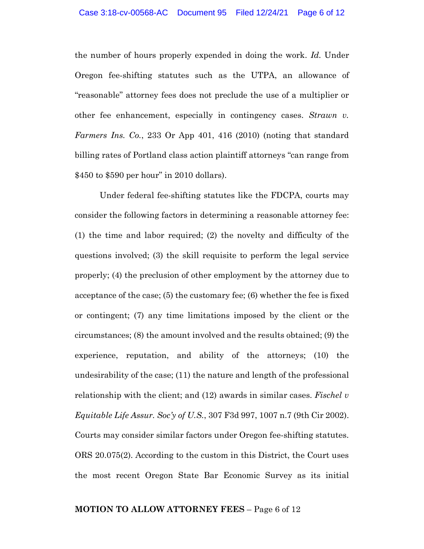the number of hours properly expended in doing the work. *Id.* Under Oregon fee-shifting statutes such as the UTPA, an allowance of "reasonable" attorney fees does not preclude the use of a multiplier or other fee enhancement, especially in contingency cases. *Strawn v. Farmers Ins. Co.*, 233 Or App 401, 416 (2010) (noting that standard billing rates of Portland class action plaintiff attorneys "can range from \$450 to \$590 per hour" in 2010 dollars).

Under federal fee-shifting statutes like the FDCPA, courts may consider the following factors in determining a reasonable attorney fee: (1) the time and labor required; (2) the novelty and difficulty of the questions involved; (3) the skill requisite to perform the legal service properly; (4) the preclusion of other employment by the attorney due to acceptance of the case; (5) the customary fee; (6) whether the fee is fixed or contingent; (7) any time limitations imposed by the client or the circumstances; (8) the amount involved and the results obtained; (9) the experience, reputation, and ability of the attorneys; (10) the undesirability of the case; (11) the nature and length of the professional relationship with the client; and (12) awards in similar cases. *Fischel v Equitable Life Assur. Soc'y of U.S.*, 307 F3d 997, 1007 n.7 (9th Cir 2002). Courts may consider similar factors under Oregon fee-shifting statutes. ORS 20.075(2). According to the custom in this District, the Court uses the most recent Oregon State Bar Economic Survey as its initial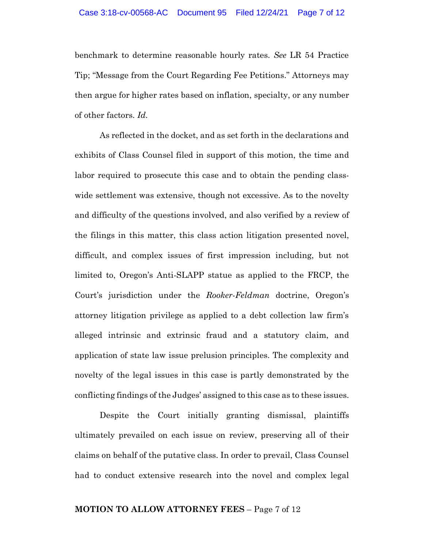benchmark to determine reasonable hourly rates. *See* LR 54 Practice Tip; "Message from the Court Regarding Fee Petitions." Attorneys may then argue for higher rates based on inflation, specialty, or any number of other factors. *Id.*

As reflected in the docket, and as set forth in the declarations and exhibits of Class Counsel filed in support of this motion, the time and labor required to prosecute this case and to obtain the pending classwide settlement was extensive, though not excessive. As to the novelty and difficulty of the questions involved, and also verified by a review of the filings in this matter, this class action litigation presented novel, difficult, and complex issues of first impression including, but not limited to, Oregon's Anti-SLAPP statue as applied to the FRCP, the Court's jurisdiction under the *Rooker-Feldman* doctrine, Oregon's attorney litigation privilege as applied to a debt collection law firm's alleged intrinsic and extrinsic fraud and a statutory claim, and application of state law issue prelusion principles. The complexity and novelty of the legal issues in this case is partly demonstrated by the conflicting findings of the Judges' assigned to this case as to these issues.

Despite the Court initially granting dismissal, plaintiffs ultimately prevailed on each issue on review, preserving all of their claims on behalf of the putative class. In order to prevail, Class Counsel had to conduct extensive research into the novel and complex legal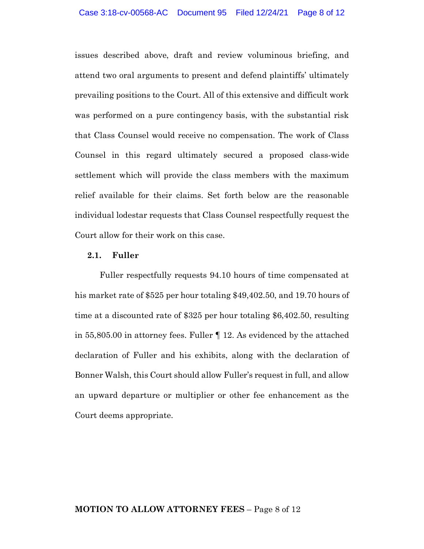issues described above, draft and review voluminous briefing, and attend two oral arguments to present and defend plaintiffs' ultimately prevailing positions to the Court. All of this extensive and difficult work was performed on a pure contingency basis, with the substantial risk that Class Counsel would receive no compensation. The work of Class Counsel in this regard ultimately secured a proposed class-wide settlement which will provide the class members with the maximum relief available for their claims. Set forth below are the reasonable individual lodestar requests that Class Counsel respectfully request the Court allow for their work on this case.

## **2.1. Fuller**

Fuller respectfully requests 94.10 hours of time compensated at his market rate of \$525 per hour totaling \$49,402.50, and 19.70 hours of time at a discounted rate of \$325 per hour totaling \$6,402.50, resulting in 55,805.00 in attorney fees. Fuller ¶ 12. As evidenced by the attached declaration of Fuller and his exhibits, along with the declaration of Bonner Walsh, this Court should allow Fuller's request in full, and allow an upward departure or multiplier or other fee enhancement as the Court deems appropriate.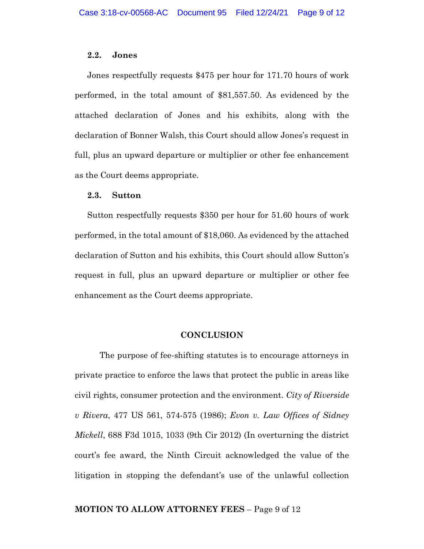#### **2.2. Jones**

Jones respectfully requests \$475 per hour for 171.70 hours of work performed, in the total amount of \$81,557.50. As evidenced by the attached declaration of Jones and his exhibits, along with the declaration of Bonner Walsh, this Court should allow Jones's request in full, plus an upward departure or multiplier or other fee enhancement as the Court deems appropriate.

#### **2.3. Sutton**

Sutton respectfully requests \$350 per hour for 51.60 hours of work performed, in the total amount of \$18,060. As evidenced by the attached declaration of Sutton and his exhibits, this Court should allow Sutton's request in full, plus an upward departure or multiplier or other fee enhancement as the Court deems appropriate.

#### **CONCLUSION**

The purpose of fee-shifting statutes is to encourage attorneys in private practice to enforce the laws that protect the public in areas like civil rights, consumer protection and the environment. *City of Riverside v Rivera*, 477 US 561, 574-575 (1986); *Evon v. Law Offices of Sidney Mickell*, 688 F3d 1015, 1033 (9th Cir 2012) (In overturning the district court's fee award, the Ninth Circuit acknowledged the value of the litigation in stopping the defendant's use of the unlawful collection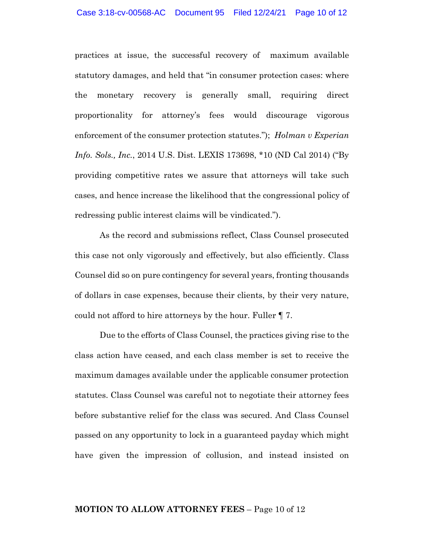practices at issue, the successful recovery of maximum available statutory damages, and held that "in consumer protection cases: where the monetary recovery is generally small, requiring direct proportionality for attorney's fees would discourage vigorous enforcement of the consumer protection statutes."); *Holman v Experian Info. Sols., Inc.*, 2014 U.S. Dist. LEXIS 173698, \*10 (ND Cal 2014) ("By providing competitive rates we assure that attorneys will take such cases, and hence increase the likelihood that the congressional policy of redressing public interest claims will be vindicated.").

As the record and submissions reflect, Class Counsel prosecuted this case not only vigorously and effectively, but also efficiently. Class Counsel did so on pure contingency for several years, fronting thousands of dollars in case expenses, because their clients, by their very nature, could not afford to hire attorneys by the hour. Fuller ¶ 7.

Due to the efforts of Class Counsel, the practices giving rise to the class action have ceased, and each class member is set to receive the maximum damages available under the applicable consumer protection statutes. Class Counsel was careful not to negotiate their attorney fees before substantive relief for the class was secured. And Class Counsel passed on any opportunity to lock in a guaranteed payday which might have given the impression of collusion, and instead insisted on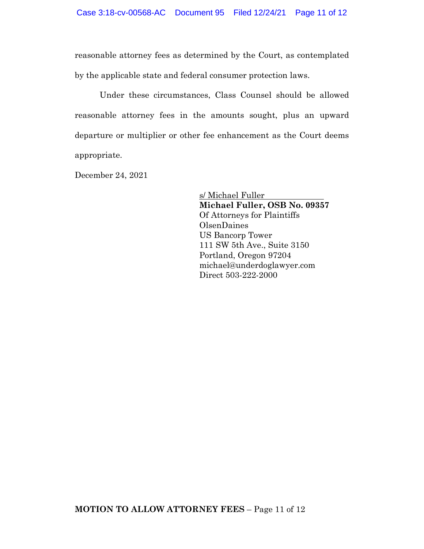reasonable attorney fees as determined by the Court, as contemplated by the applicable state and federal consumer protection laws.

Under these circumstances, Class Counsel should be allowed reasonable attorney fees in the amounts sought, plus an upward departure or multiplier or other fee enhancement as the Court deems appropriate.

December 24, 2021

s/ Michael Fuller **Michael Fuller, OSB No. 09357** Of Attorneys for Plaintiffs OlsenDaines US Bancorp Tower 111 SW 5th Ave., Suite 3150 Portland, Oregon 97204 michael@underdoglawyer.com Direct 503-222-2000